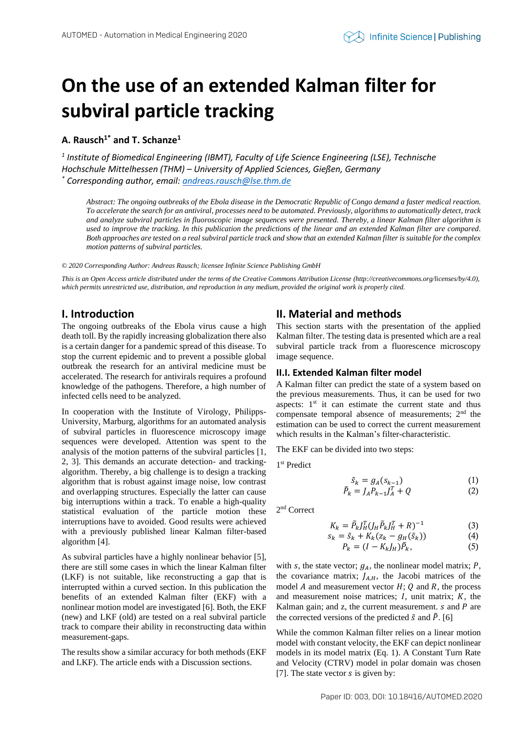# **On the use of an extended Kalman filter for subviral particle tracking**

## **A. Rausch1\* and T. Schanze<sup>1</sup>**

*1 Institute of Biomedical Engineering (IBMT), Faculty of Life Science Engineering (LSE), Technische Hochschule Mittelhessen (THM) – University of Applied Sciences, Gießen, Germany \* Corresponding author, email: [andreas.rausch@lse.thm.de](mailto:andreas.rausch@lse.thm.de)*

*Abstract: The ongoing outbreaks of the Ebola disease in the Democratic Republic of Congo demand a faster medical reaction. To accelerate the search for an antiviral, processes need to be automated. Previously, algorithms to automatically detect, track and analyze subviral particles in fluoroscopic image sequences were presented. Thereby, a linear Kalman filter algorithm is used to improve the tracking. In this publication the predictions of the linear and an extended Kalman filter are compared. Both approaches are tested on a real subviral particle track and show that an extended Kalman filter is suitable for the complex motion patterns of subviral particles.*

*© 2020 Corresponding Author: Andreas Rausch; licensee Infinite Science Publishing GmbH*

*This is an Open Access article distributed under the terms of the Creative Commons Attribution License (http://creativecommons.org/licenses/by/4.0),*  which permits unrestricted use, distribution, and reproduction in any medium, provided the original work is properly cited.

## **I. Introduction**

The ongoing outbreaks of the Ebola virus cause a high death toll. By the rapidly increasing globalization there also is a certain danger for a pandemic spread of this disease. To stop the current epidemic and to prevent a possible global outbreak the research for an antiviral medicine must be accelerated. The research for antivirals requires a profound knowledge of the pathogens. Therefore, a high number of infected cells need to be analyzed.

In cooperation with the Institute of Virology, Philipps-University, Marburg, algorithms for an automated analysis of subviral particles in fluorescence microscopy image sequences were developed. Attention was spent to the analysis of the motion patterns of the subviral particles [1, 2, 3]. This demands an accurate detection- and trackingalgorithm. Thereby, a big challenge is to design a tracking algorithm that is robust against image noise, low contrast and overlapping structures. Especially the latter can cause big interruptions within a track. To enable a high-quality statistical evaluation of the particle motion these interruptions have to avoided. Good results were achieved with a previously published linear Kalman filter-based algorithm [4].

As subviral particles have a highly nonlinear behavior [5], there are still some cases in which the linear Kalman filter (LKF) is not suitable, like reconstructing a gap that is interrupted within a curved section. In this publication the benefits of an extended Kalman filter (EKF) with a nonlinear motion model are investigated [6]. Both, the EKF (new) and LKF (old) are tested on a real subviral particle track to compare their ability in reconstructing data within measurement-gaps.

The results show a similar accuracy for both methods (EKF and LKF). The article ends with a Discussion sections.

## **II. Material and methods**

This section starts with the presentation of the applied Kalman filter. The testing data is presented which are a real subviral particle track from a fluorescence microscopy image sequence.

### **II.I. Extended Kalman filter model**

A Kalman filter can predict the state of a system based on the previous measurements. Thus, it can be used for two aspects:  $1<sup>st</sup>$  it can estimate the current state and thus compensate temporal absence of measurements; 2nd the estimation can be used to correct the current measurement which results in the Kalman's filter-characteristic.

The EKF can be divided into two steps:

1 st Predict

$$
\tilde{s}_k = g_A(s_{k-1})\tag{1}
$$

$$
\tilde{P}_k = J_A P_{k-1} J_A^T + Q \tag{2}
$$

2 nd Correct

$$
K_k = \tilde{P}_k J_H^T (J_H \tilde{P}_k J_H^T + R)^{-1}
$$
 (3)

$$
s_k = \tilde{s}_k + K_k (z_k - g_H(\tilde{s}_k)) \tag{4}
$$

$$
P_k = (I - K_k J_H) \tilde{P}_k,\tag{5}
$$

with s, the state vector;  $g_A$ , the nonlinear model matrix; P, the covariance matrix;  $J_{AH}$ , the Jacobi matrices of the model  $A$  and measurement vector  $H$ ;  $Q$  and  $R$ , the process and measurement noise matrices;  $I$ , unit matrix;  $K$ , the Kalman gain; and z, the current measurement.  $s$  and  $P$  are the corrected versions of the predicted  $\tilde{s}$  and  $\tilde{P}$ . [6]

While the common Kalman filter relies on a linear motion model with constant velocity, the EKF can depict nonlinear models in its model matrix (Eq. 1). A Constant Turn Rate and Velocity (CTRV) model in polar domain was chosen [7]. The state vector  $s$  is given by: